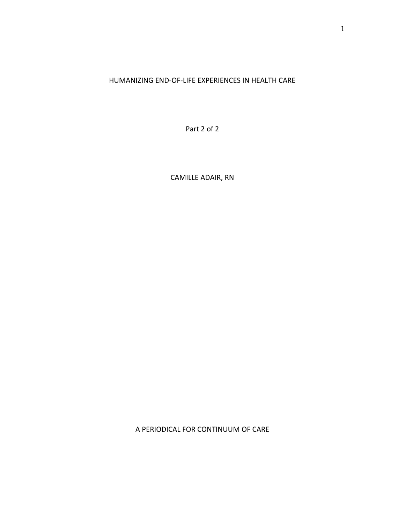# HUMANIZING END-OF-LIFE EXPERIENCES IN HEALTH CARE

Part 2 of 2

CAMILLE ADAIR, RN

A PERIODICAL FOR CONTINUUM OF CARE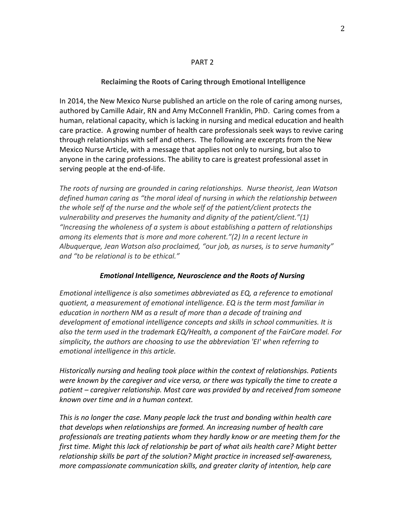#### PART 2

## **Reclaiming the Roots of Caring through Emotional Intelligence**

In 2014, the New Mexico Nurse published an article on the role of caring among nurses, authored by Camille Adair, RN and Amy McConnell Franklin, PhD. Caring comes from a human, relational capacity, which is lacking in nursing and medical education and health care practice. A growing number of health care professionals seek ways to revive caring through relationships with self and others. The following are excerpts from the New Mexico Nurse Article, with a message that applies not only to nursing, but also to anyone in the caring professions. The ability to care is greatest professional asset in serving people at the end-of-life.

*The roots of nursing are grounded in caring relationships. Nurse theorist, Jean Watson defined human caring as "the moral ideal of nursing in which the relationship between the whole self of the nurse and the whole self of the patient/client protects the vulnerability and preserves the humanity and dignity of the patient/client."(1) "Increasing the wholeness of a system is about establishing a pattern of relationships among its elements that is more and more coherent."(2) In a recent lecture in Albuquerque, Jean Watson also proclaimed, "our job, as nurses, is to serve humanity" and "to be relational is to be ethical."* 

### *Emotional Intelligence, Neuroscience and the Roots of Nursing*

*Emotional intelligence is also sometimes abbreviated as EQ, a reference to emotional quotient, a measurement of emotional intelligence. EQ is the term most familiar in education in northern NM as a result of more than a decade of training and development of emotional intelligence concepts and skills in school communities. It is also the term used in the trademark EQ/Health, a component of the FairCare model. For simplicity, the authors are choosing to use the abbreviation 'EI' when referring to emotional intelligence in this article.*

*Historically nursing and healing took place within the context of relationships. Patients were known by the caregiver and vice versa, or there was typically the time to create a patient – caregiver relationship. Most care was provided by and received from someone known over time and in a human context.* 

*This is no longer the case. Many people lack the trust and bonding within health care that develops when relationships are formed. An increasing number of health care professionals are treating patients whom they hardly know or are meeting them for the first time. Might this lack of relationship be part of what ails health care? Might better relationship skills be part of the solution? Might practice in increased self-awareness, more compassionate communication skills, and greater clarity of intention, help care*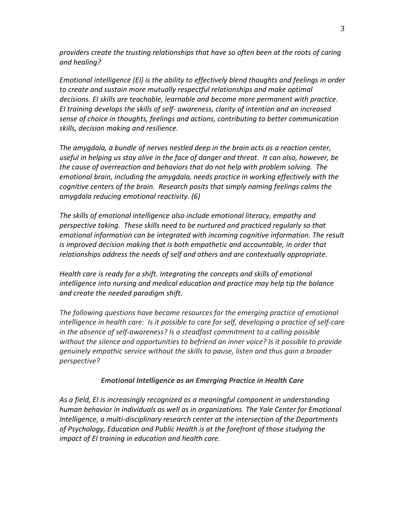*providers create the trusting relationships that have so often been at the roots of caring and healing?* 

*Emotional intelligence (EI) is the ability to effectively blend thoughts and feelings in order to create and sustain more mutually respectful relationships and make optimal decisions. EI skills are teachable, learnable and become more permanent with practice. EI training develops the skills of self- awareness, clarity of intention and an increased sense of choice in thoughts, feelings and actions, contributing to better communication skills, decision making and resilience.*

*The amygdala, a bundle of nerves nestled deep in the brain acts as a reaction center, useful in helping us stay alive in the face of danger and threat. It can also, however, be the cause of overreaction and behaviors that do not help with problem solving. The emotional brain, including the amygdala, needs practice in working effectively with the cognitive centers of the brain. Research posits that simply naming feelings calms the amygdala reducing emotional reactivity. (6)*

*The skills of emotional intelligence also include emotional literacy, empathy and perspective taking. These skills need to be nurtured and practiced regularly so that emotional information can be integrated with incoming cognitive information. The result is improved decision making that is both empathetic and accountable, in order that relationships address the needs of self and others and are contextually appropriate.* 

*Health care is ready for a shift. Integrating the concepts and skills of emotional intelligence into nursing and medical education and practice may help tip the balance and create the needed paradigm shift.* 

*The following questions have become resources for the emerging practice of emotional intelligence in health care: Is it possible to care for self, developing a practice of self-care in the absence of self-awareness? Is a steadfast commitment to a calling possible without the silence and opportunities to befriend an inner voice? Is it possible to provide genuinely empathic service without the skills to pause, listen and thus gain a broader perspective?* 

# *Emotional Intelligence as an Emerging Practice in Health Care*

*As a field, EI is increasingly recognized as a meaningful component in understanding human behavior in individuals as well as in organizations. The Yale Center for Emotional Intelligence, a multi-disciplinary research center at the intersection of the Departments of Psychology, Education and Public Health is at the forefront of those studying the impact of EI training in education and health care.*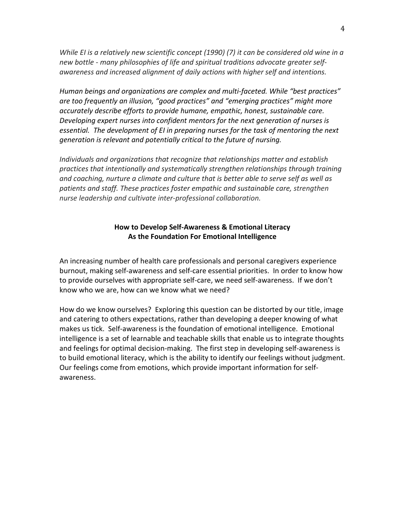*While EI is a relatively new scientific concept (1990) (7) it can be considered old wine in a new bottle - many philosophies of life and spiritual traditions advocate greater selfawareness and increased alignment of daily actions with higher self and intentions.* 

*Human beings and organizations are complex and multi-faceted. While "best practices" are too frequently an illusion, "good practices" and "emerging practices" might more accurately describe efforts to provide humane, empathic, honest, sustainable care. Developing expert nurses into confident mentors for the next generation of nurses is essential. The development of EI in preparing nurses for the task of mentoring the next generation is relevant and potentially critical to the future of nursing.* 

*Individuals and organizations that recognize that relationships matter and establish practices that intentionally and systematically strengthen relationships through training and coaching, nurture a climate and culture that is better able to serve self as well as patients and staff. These practices foster empathic and sustainable care, strengthen nurse leadership and cultivate inter-professional collaboration.*

# **How to Develop Self-Awareness & Emotional Literacy As the Foundation For Emotional Intelligence**

An increasing number of health care professionals and personal caregivers experience burnout, making self-awareness and self-care essential priorities. In order to know how to provide ourselves with appropriate self-care, we need self-awareness. If we don't know who we are, how can we know what we need?

How do we know ourselves? Exploring this question can be distorted by our title, image and catering to others expectations, rather than developing a deeper knowing of what makes us tick. Self-awareness is the foundation of emotional intelligence. Emotional intelligence is a set of learnable and teachable skills that enable us to integrate thoughts and feelings for optimal decision-making. The first step in developing self-awareness is to build emotional literacy, which is the ability to identify our feelings without judgment. Our feelings come from emotions, which provide important information for selfawareness.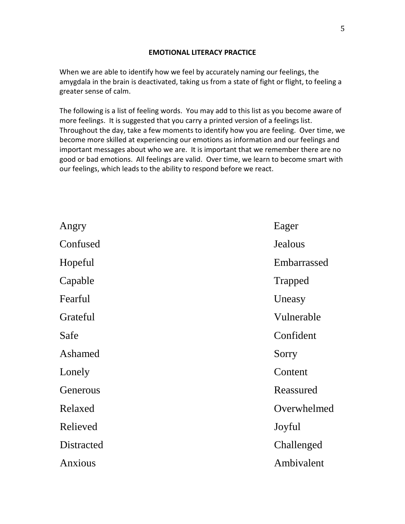## **EMOTIONAL LITERACY PRACTICE**

When we are able to identify how we feel by accurately naming our feelings, the amygdala in the brain is deactivated, taking us from a state of fight or flight, to feeling a greater sense of calm.

The following is a list of feeling words. You may add to this list as you become aware of more feelings. It is suggested that you carry a printed version of a feelings list. Throughout the day, take a few moments to identify how you are feeling. Over time, we become more skilled at experiencing our emotions as information and our feelings and important messages about who we are. It is important that we remember there are no good or bad emotions. All feelings are valid. Over time, we learn to become smart with our feelings, which leads to the ability to respond before we react.

| Eager          |
|----------------|
| <b>Jealous</b> |
| Embarrassed    |
| <b>Trapped</b> |
| Uneasy         |
| Vulnerable     |
| Confident      |
| Sorry          |
| Content        |
| Reassured      |
| Overwhelmed    |
| Joyful         |
| Challenged     |
| Ambivalent     |
|                |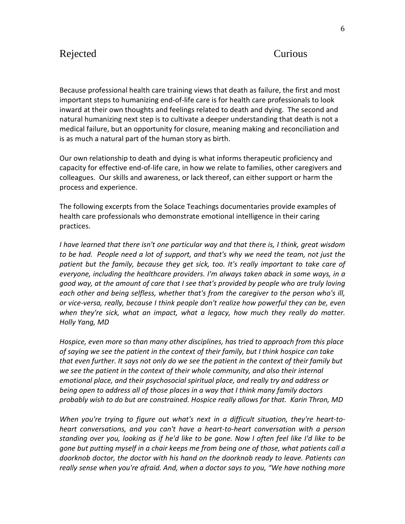# Rejected Curious

Because professional health care training views that death as failure, the first and most important steps to humanizing end-of-life care is for health care professionals to look inward at their own thoughts and feelings related to death and dying. The second and natural humanizing next step is to cultivate a deeper understanding that death is not a medical failure, but an opportunity for closure, meaning making and reconciliation and is as much a natural part of the human story as birth.

Our own relationship to death and dying is what informs therapeutic proficiency and capacity for effective end-of-life care, in how we relate to families, other caregivers and colleagues. Our skills and awareness, or lack thereof, can either support or harm the process and experience.

The following excerpts from the Solace Teachings documentaries provide examples of health care professionals who demonstrate emotional intelligence in their caring practices.

*I have learned that there isn't one particular way and that there is, I think, great wisdom to be had. People need a lot of support, and that's why we need the team, not just the patient but the family, because they get sick, too. It's really important to take care of everyone, including the healthcare providers. I'm always taken aback in some ways, in a good way, at the amount of care that I see that's provided by people who are truly loving each other and being selfless, whether that's from the caregiver to the person who's ill, or vice-versa, really, because I think people don't realize how powerful they can be, even when they're sick, what an impact, what a legacy, how much they really do matter. Holly Yang, MD*

*Hospice, even more so than many other disciplines, has tried to approach from this place of saying we see the patient in the context of their family, but I think hospice can take that even further. It says not only do we see the patient in the context of their family but we see the patient in the context of their whole community, and also their internal emotional place, and their psychosocial spiritual place, and really try and address or being open to address all of those places in a way that I think many family doctors probably wish to do but are constrained. Hospice really allows for that. Karin Thron, MD*

*When you're trying to figure out what's next in a difficult situation, they're heart-toheart conversations, and you can't have a heart-to-heart conversation with a person standing over you, looking as if he'd like to be gone. Now I often feel like I'd like to be gone but putting myself in a chair keeps me from being one of those, what patients call a doorknob doctor, the doctor with his hand on the doorknob ready to leave. Patients can really sense when you're afraid. And, when a doctor says to you, "We have nothing more*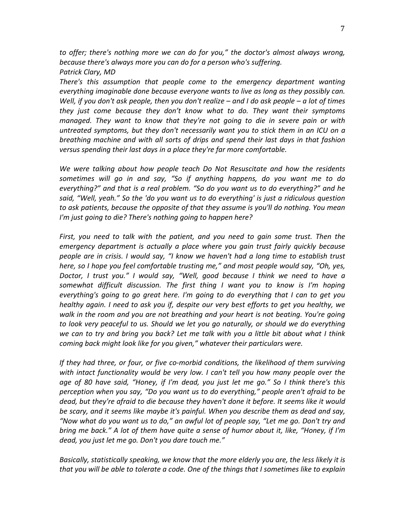*to offer; there's nothing more we can do for you," the doctor's almost always wrong, because there's always more you can do for a person who's suffering. Patrick Clary, MD*

*There's this assumption that people come to the emergency department wanting everything imaginable done because everyone wants to live as long as they possibly can. Well, if you don't ask people, then you don't realize – and I do ask people – a lot of times they just come because they don't know what to do. They want their symptoms managed. They want to know that they're not going to die in severe pain or with untreated symptoms, but they don't necessarily want you to stick them in an ICU on a breathing machine and with all sorts of drips and spend their last days in that fashion versus spending their last days in a place they're far more comfortable.*

*We were talking about how people teach Do Not Resuscitate and how the residents sometimes will go in and say, "So if anything happens, do you want me to do everything?" and that is a real problem. "So do you want us to do everything?" and he said, "Well, yeah." So the 'do you want us to do everything' is just a ridiculous question to ask patients, because the opposite of that they assume is you'll do nothing. You mean I'm just going to die? There's nothing going to happen here?* 

*First, you need to talk with the patient, and you need to gain some trust. Then the emergency department is actually a place where you gain trust fairly quickly because people are in crisis. I would say, "I know we haven't had a long time to establish trust here, so I hope you feel comfortable trusting me," and most people would say, "Oh, yes, Doctor, I trust you." I would say, "Well, good because I think we need to have a somewhat difficult discussion. The first thing I want you to know is I'm hoping everything's going to go great here. I'm going to do everything that I can to get you healthy again. I need to ask you if, despite our very best efforts to get you healthy, we walk in the room and you are not breathing and your heart is not beating. You're going*  to look very peaceful to us. Should we let you go naturally, or should we do everything *we can to try and bring you back? Let me talk with you a little bit about what I think coming back might look like for you given," whatever their particulars were.* 

*If they had three, or four, or five co-morbid conditions, the likelihood of them surviving with intact functionality would be very low. I can't tell you how many people over the age of 80 have said, "Honey, if I'm dead, you just let me go." So I think there's this perception when you say, "Do you want us to do everything," people aren't afraid to be dead, but they're afraid to die because they haven't done it before. It seems like it would be scary, and it seems like maybe it's painful. When you describe them as dead and say, "Now what do you want us to do," an awful lot of people say, "Let me go. Don't try and bring me back." A lot of them have quite a sense of humor about it, like, "Honey, if I'm dead, you just let me go. Don't you dare touch me."*

*Basically, statistically speaking, we know that the more elderly you are, the less likely it is that you will be able to tolerate a code. One of the things that I sometimes like to explain*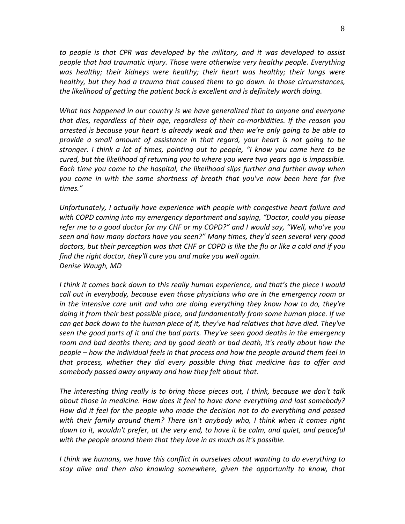*to people is that CPR was developed by the military, and it was developed to assist people that had traumatic injury. Those were otherwise very healthy people. Everything was healthy; their kidneys were healthy; their heart was healthy; their lungs were healthy, but they had a trauma that caused them to go down. In those circumstances, the likelihood of getting the patient back is excellent and is definitely worth doing.*

*What has happened in our country is we have generalized that to anyone and everyone that dies, regardless of their age, regardless of their co-morbidities. If the reason you arrested is because your heart is already weak and then we're only going to be able to provide a small amount of assistance in that regard, your heart is not going to be stronger. I think a lot of times, pointing out to people, "I know you came here to be cured, but the likelihood of returning you to where you were two years ago is impossible. Each time you come to the hospital, the likelihood slips further and further away when you come in with the same shortness of breath that you've now been here for five times."* 

*Unfortunately, I actually have experience with people with congestive heart failure and with COPD coming into my emergency department and saying, "Doctor, could you please refer me to a good doctor for my CHF or my COPD?" and I would say, "Well, who've you seen and how many doctors have you seen?" Many times, they'd seen several very good doctors, but their perception was that CHF or COPD is like the flu or like a cold and if you find the right doctor, they'll cure you and make you well again. Denise Waugh, MD*

*I think it comes back down to this really human experience, and that's the piece I would call out in everybody, because even those physicians who are in the emergency room or in the intensive care unit and who are doing everything they know how to do, they're doing it from their best possible place, and fundamentally from some human place. If we can get back down to the human piece of it, they've had relatives that have died. They've seen the good parts of it and the bad parts. They've seen good deaths in the emergency room and bad deaths there; and by good death or bad death, it's really about how the people – how the individual feels in that process and how the people around them feel in that process, whether they did every possible thing that medicine has to offer and somebody passed away anyway and how they felt about that.*

*The interesting thing really is to bring those pieces out, I think, because we don't talk about those in medicine. How does it feel to have done everything and lost somebody? How did it feel for the people who made the decision not to do everything and passed with their family around them? There isn't anybody who, I think when it comes right down to it, wouldn't prefer, at the very end, to have it be calm, and quiet, and peaceful with the people around them that they love in as much as it's possible.*

*I think we humans, we have this conflict in ourselves about wanting to do everything to stay alive and then also knowing somewhere, given the opportunity to know, that*